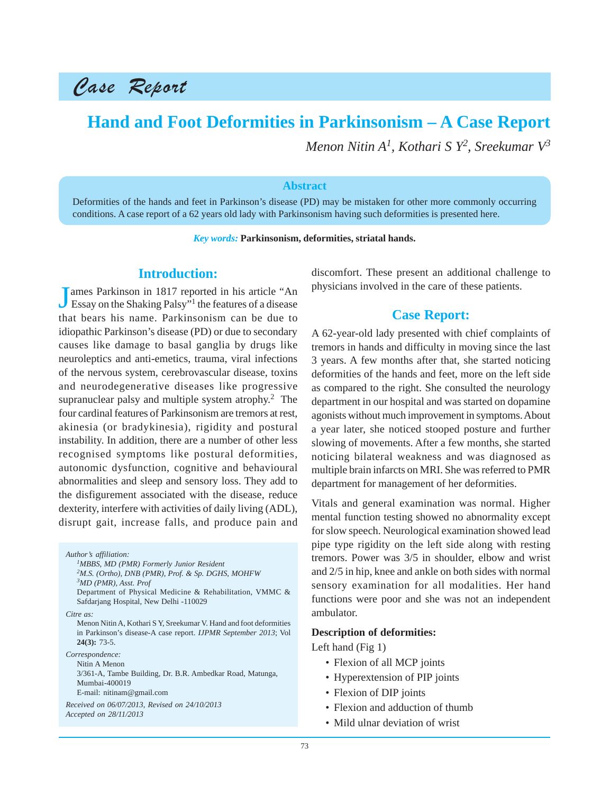# Case Report

## **Hand and Foot Deformities in Parkinsonism – A Case Report**

*Menon Nitin A1, Kothari S Y2 , Sreekumar V3*

#### **Abstract**

Deformities of the hands and feet in Parkinson's disease (PD) may be mistaken for other more commonly occurring conditions. A case report of a 62 years old lady with Parkinsonism having such deformities is presented here.

*Key words:* **Parkinsonism, deformities, striatal hands.**

## **Introduction:**

J ames Parkinson in 1817 reported in his article "An Essay on the Shaking Palsy"1 the features of a disease that bears his name. Parkinsonism can be due to idiopathic Parkinson's disease (PD) or due to secondary causes like damage to basal ganglia by drugs like neuroleptics and anti-emetics, trauma, viral infections of the nervous system, cerebrovascular disease, toxins and neurodegenerative diseases like progressive supranuclear palsy and multiple system atrophy.<sup>2</sup> The four cardinal features of Parkinsonism are tremors at rest, akinesia (or bradykinesia), rigidity and postural instability. In addition, there are a number of other less recognised symptoms like postural deformities, autonomic dysfunction, cognitive and behavioural abnormalities and sleep and sensory loss. They add to the disfigurement associated with the disease, reduce dexterity, interfere with activities of daily living (ADL), disrupt gait, increase falls, and produce pain and

*Author's affiliation:*

*1MBBS, MD (PMR) Formerly Junior Resident 2M.S. (Ortho), DNB (PMR), Prof. & Sp. DGHS, MOHFW*

*3MD (PMR), Asst. Prof*

Department of Physical Medicine & Rehabilitation, VMMC & Safdarjang Hospital, New Delhi -110029

*Citre as:*

Menon Nitin A, Kothari S Y, Sreekumar V. Hand and foot deformities in Parkinson's disease-A case report. *IJPMR September 2013*; Vol **24(3):** 73-5.

*Correspondence:*

Nitin A Menon 3/361-A, Tambe Building, Dr. B.R. Ambedkar Road, Matunga, Mumbai-400019 E-mail: nitinam@gmail.com

*Received on 06/07/2013, Revised on 24/10/2013 Accepted on 28/11/2013*

discomfort. These present an additional challenge to physicians involved in the care of these patients.

## **Case Report:**

A 62-year-old lady presented with chief complaints of tremors in hands and difficulty in moving since the last 3 years. A few months after that, she started noticing deformities of the hands and feet, more on the left side as compared to the right. She consulted the neurology department in our hospital and was started on dopamine agonists without much improvement in symptoms. About a year later, she noticed stooped posture and further slowing of movements. After a few months, she started noticing bilateral weakness and was diagnosed as multiple brain infarcts on MRI. She was referred to PMR department for management of her deformities.

Vitals and general examination was normal. Higher mental function testing showed no abnormality except for slow speech. Neurological examination showed lead pipe type rigidity on the left side along with resting tremors. Power was 3/5 in shoulder, elbow and wrist and 2/5 in hip, knee and ankle on both sides with normal sensory examination for all modalities. Her hand functions were poor and she was not an independent ambulator.

#### **Description of deformities:**

Left hand (Fig 1)

- Flexion of all MCP joints
- Hyperextension of PIP joints
- Flexion of DIP joints
- Flexion and adduction of thumb
- Mild ulnar deviation of wrist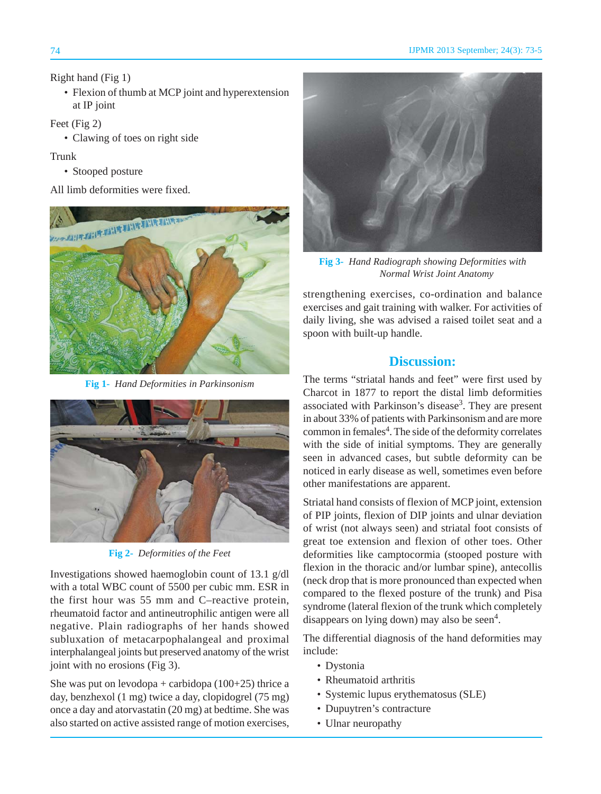#### Right hand (Fig 1)

• Flexion of thumb at MCP joint and hyperextension at IP joint

Feet (Fig 2)

• Clawing of toes on right side

#### Trunk

• Stooped posture

All limb deformities were fixed.



**Fig 1-** *Hand Deformities in Parkinsonism*



**Fig 2-** *Deformities of the Feet*

Investigations showed haemoglobin count of 13.1 g/dl with a total WBC count of 5500 per cubic mm. ESR in the first hour was 55 mm and C–reactive protein, rheumatoid factor and antineutrophilic antigen were all negative. Plain radiographs of her hands showed subluxation of metacarpophalangeal and proximal interphalangeal joints but preserved anatomy of the wrist joint with no erosions (Fig 3).

She was put on levodopa + carbidopa  $(100+25)$  thrice a day, benzhexol (1 mg) twice a day, clopidogrel (75 mg) once a day and atorvastatin (20 mg) at bedtime. She was also started on active assisted range of motion exercises,



**Fig 3-** *Hand Radiograph showing Deformities with Normal Wrist Joint Anatomy*

strengthening exercises, co-ordination and balance exercises and gait training with walker. For activities of daily living, she was advised a raised toilet seat and a spoon with built-up handle.

## **Discussion:**

The terms "striatal hands and feet" were first used by Charcot in 1877 to report the distal limb deformities associated with Parkinson's disease<sup>3</sup>. They are present in about 33% of patients with Parkinsonism and are more common in females<sup>4</sup>. The side of the deformity correlates with the side of initial symptoms. They are generally seen in advanced cases, but subtle deformity can be noticed in early disease as well, sometimes even before other manifestations are apparent.

Striatal hand consists of flexion of MCP joint, extension of PIP joints, flexion of DIP joints and ulnar deviation of wrist (not always seen) and striatal foot consists of great toe extension and flexion of other toes. Other deformities like camptocormia (stooped posture with flexion in the thoracic and/or lumbar spine), antecollis (neck drop that is more pronounced than expected when compared to the flexed posture of the trunk) and Pisa syndrome (lateral flexion of the trunk which completely disappears on lying down) may also be seen<sup>4</sup>.

The differential diagnosis of the hand deformities may include:

- Dystonia
- Rheumatoid arthritis
- Systemic lupus erythematosus (SLE)
- Dupuytren's contracture
- Ulnar neuropathy